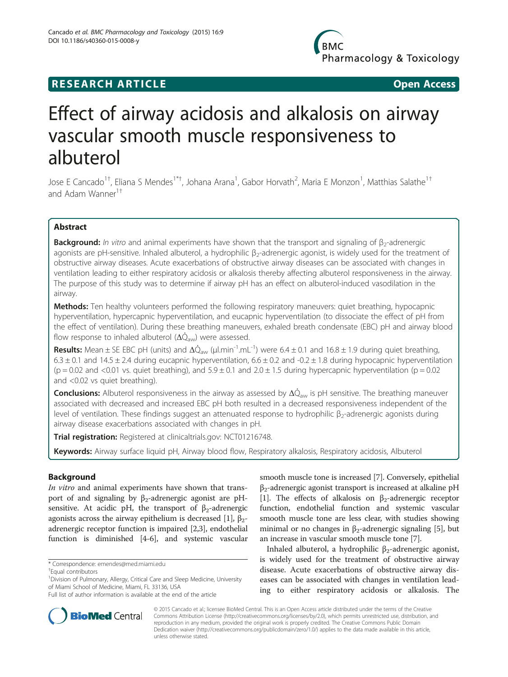# **RESEARCH ARTICLE Example 2014 12:30 The SEAR CHA RTICLE**

# Effect of airway acidosis and alkalosis on airway vascular smooth muscle responsiveness to albuterol

Jose E Cancado<sup>1†</sup>, Eliana S Mendes<sup>1\*†</sup>, Johana Arana<sup>1</sup>, Gabor Horvath<sup>2</sup>, Maria E Monzon<sup>1</sup>, Matthias Salathe<sup>1†</sup> and Adam Wanner $1^+$ 

# Abstract

**Background:** In vitro and animal experiments have shown that the transport and signaling of  $\beta_2$ -adrenergic agonists are pH-sensitive. Inhaled albuterol, a hydrophilic β<sub>2</sub>-adrenergic agonist, is widely used for the treatment of obstructive airway diseases. Acute exacerbations of obstructive airway diseases can be associated with changes in ventilation leading to either respiratory acidosis or alkalosis thereby affecting albuterol responsiveness in the airway. The purpose of this study was to determine if airway pH has an effect on albuterol-induced vasodilation in the airway.

**Methods:** Ten healthy volunteers performed the following respiratory maneuvers: quiet breathing, hypocapnic hyperventilation, hypercapnic hyperventilation, and eucapnic hyperventilation (to dissociate the effect of pH from the effect of ventilation). During these breathing maneuvers, exhaled breath condensate (EBC) pH and airway blood flow response to inhaled albuterol ( $\Delta Q_{\text{aw}}$ ) were assessed.

Results: Mean  $\pm$  SE EBC pH (units) and  $\Delta\dot{Q}_{aw}$  (µl.min<sup>-1</sup>.mL<sup>-1</sup>) were 6.4  $\pm$  0.1 and 16.8  $\pm$  1.9 during quiet breathing,  $6.3 \pm 0.1$  and  $14.5 \pm 2.4$  during eucapnic hyperventilation,  $6.6 \pm 0.2$  and  $-0.2 \pm 1.8$  during hypocapnic hyperventilation  $(p = 0.02$  and <0.01 vs. quiet breathing), and  $5.9 \pm 0.1$  and  $2.0 \pm 1.5$  during hypercapnic hyperventilation (p = 0.02 and <0.02 vs quiet breathing).

**Conclusions:** Albuterol responsiveness in the airway as assessed by  $\Delta Q_{\text{aw}}$  is pH sensitive. The breathing maneuver associated with decreased and increased EBC pH both resulted in a decreased responsiveness independent of the level of ventilation. These findings suggest an attenuated response to hydrophilic β<sub>2</sub>-adrenergic agonists during airway disease exacerbations associated with changes in pH.

Trial registration: Registered at clinicaltrials.gov: [NCT01216748.](http://www.clinicaltrials.gov/NCT01216748)

Keywords: Airway surface liquid pH, Airway blood flow, Respiratory alkalosis, Respiratory acidosis, Albuterol

# Background

In vitro and animal experiments have shown that transport of and signaling by β<sub>2</sub>-adrenergic agonist are pHsensitive. At acidic pH, the transport of  $\beta_2$ -adrenergic agonists across the airway epithelium is decreased [\[1](#page-5-0)],  $β<sub>2</sub>$ adrenergic receptor function is impaired [\[2,3](#page-5-0)], endothelial function is diminished [\[4](#page-5-0)-[6](#page-6-0)], and systemic vascular

smooth muscle tone is increased [[7\]](#page-6-0). Conversely, epithelial  $\beta_2$ -adrenergic agonist transport is increased at alkaline pH [[1\]](#page-5-0). The effects of alkalosis on  $\beta_2$ -adrenergic receptor function, endothelial function and systemic vascular smooth muscle tone are less clear, with studies showing minimal or no changes in  $\beta_2$ -adrenergic signaling [[5\]](#page-6-0), but an increase in vascular smooth muscle tone [[7](#page-6-0)].

Inhaled albuterol, a hydrophilic  $β_2$ -adrenergic agonist, is widely used for the treatment of obstructive airway disease. Acute exacerbations of obstructive airway diseases can be associated with changes in ventilation leading to either respiratory acidosis or alkalosis. The



© 2015 Cancado et al.; licensee BioMed Central. This is an Open Access article distributed under the terms of the Creative Commons Attribution License [\(http://creativecommons.org/licenses/by/2.0\)](http://creativecommons.org/licenses/by/2.0), which permits unrestricted use, distribution, and reproduction in any medium, provided the original work is properly credited. The Creative Commons Public Domain Dedication waiver [\(http://creativecommons.org/publicdomain/zero/1.0/](http://creativecommons.org/publicdomain/zero/1.0/)) applies to the data made available in this article, unless otherwise stated.

<sup>\*</sup> Correspondence: [emendes@med.miami.edu](mailto:emendes@med.miami.edu) †

Equal contributors

<sup>&</sup>lt;sup>1</sup> Division of Pulmonary, Allergy, Critical Care and Sleep Medicine, University of Miami School of Medicine, Miami, FL 33136, USA

Full list of author information is available at the end of the article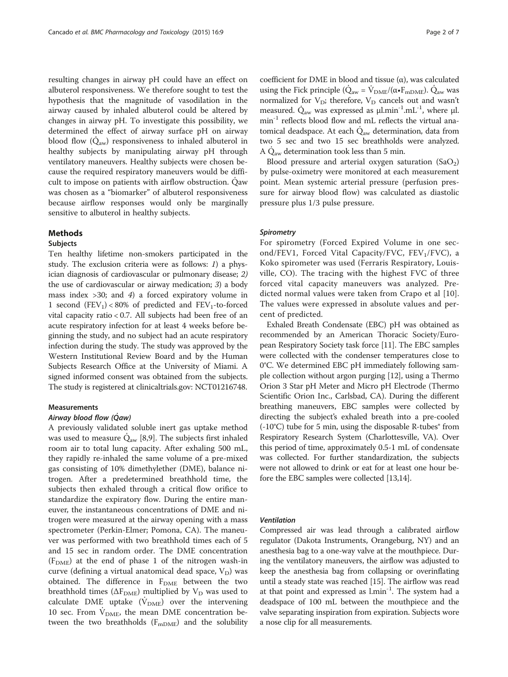resulting changes in airway pH could have an effect on albuterol responsiveness. We therefore sought to test the hypothesis that the magnitude of vasodilation in the airway caused by inhaled albuterol could be altered by changes in airway pH. To investigate this possibility, we determined the effect of airway surface pH on airway blood flow  $(Q_{aw})$  responsiveness to inhaled albuterol in healthy subjects by manipulating airway pH through ventilatory maneuvers. Healthy subjects were chosen because the required respiratory maneuvers would be difficult to impose on patients with airflow obstruction. Qaw was chosen as a "biomarker" of albuterol responsiveness because airflow responses would only be marginally sensitive to albuterol in healthy subjects.

### Methods

# Subjects

Ten healthy lifetime non-smokers participated in the study. The exclusion criteria were as follows: 1) a physician diagnosis of cardiovascular or pulmonary disease; 2) the use of cardiovascular or airway medication; 3) a body mass index  $>30$ ; and 4) a forced expiratory volume in 1 second  $(FEV_1)$  < 80% of predicted and  $FEV_1$ -to-forced vital capacity ratio < 0.7. All subjects had been free of an acute respiratory infection for at least 4 weeks before beginning the study, and no subject had an acute respiratory infection during the study. The study was approved by the Western Institutional Review Board and by the Human Subjects Research Office at the University of Miami. A signed informed consent was obtained from the subjects. The study is registered at clinicaltrials.gov: NCT01216748.

# Measurements

# Airway blood flow (Qaw)

A previously validated soluble inert gas uptake method was used to measure  $\dot{Q}_{\text{aw}}$  [[8,9\]](#page-6-0). The subjects first inhaled room air to total lung capacity. After exhaling 500 mL, they rapidly re-inhaled the same volume of a pre-mixed gas consisting of 10% dimethylether (DME), balance nitrogen. After a predetermined breathhold time, the subjects then exhaled through a critical flow orifice to standardize the expiratory flow. During the entire maneuver, the instantaneous concentrations of DME and nitrogen were measured at the airway opening with a mass spectrometer (Perkin-Elmer; Pomona, CA). The maneuver was performed with two breathhold times each of 5 and 15 sec in random order. The DME concentration  $(F<sub>DME</sub>)$  at the end of phase 1 of the nitrogen wash-in curve (defining a virtual anatomical dead space,  $V_D$ ) was obtained. The difference in  $F_{\text{DME}}$  between the two breathhold times ( $\Delta F_{\text{DME}}$ ) multiplied by  $V_{\text{D}}$  was used to calculate DME uptake  $(V_{DME})$  over the intervening 10 sec. From  $V_{\text{DME}}$ , the mean DME concentration between the two breathholds  $(F_{mDME})$  and the solubility coefficient for DME in blood and tissue (α), was calculated using the Fick principle ( $\dot{Q}_{aw} = \dot{V}_{DME}/(\alpha \cdot F_{mDME})$ ).  $\dot{Q}_{aw}$  was normalized for  $V_D$ ; therefore,  $V_D$  cancels out and wasn't measured.  $\dot{Q}_{aw}$  was expressed as  $\mu l.$ min<sup>-1</sup>.mL<sup>-1</sup>, where  $\mu l.$  $min^{-1}$  reflects blood flow and mL reflects the virtual anatomical deadspace. At each  $\dot{Q}_{aw}$  determination, data from two 5 sec and two 15 sec breathholds were analyzed. A  $\dot{Q}_{aw}$  determination took less than 5 min.

Blood pressure and arterial oxygen saturation  $(SaO<sub>2</sub>)$ by pulse-oximetry were monitored at each measurement point. Mean systemic arterial pressure (perfusion pressure for airway blood flow) was calculated as diastolic pressure plus 1/3 pulse pressure.

#### **Spirometry**

For spirometry (Forced Expired Volume in one second/FEV1, Forced Vital Capacity/FVC, FEV1/FVC), a Koko spirometer was used (Ferraris Respiratory, Louisville, CO). The tracing with the highest FVC of three forced vital capacity maneuvers was analyzed. Predicted normal values were taken from Crapo et al [[10](#page-6-0)]. The values were expressed in absolute values and percent of predicted.

Exhaled Breath Condensate (EBC) pH was obtained as recommended by an American Thoracic Society/European Respiratory Society task force [\[11\]](#page-6-0). The EBC samples were collected with the condenser temperatures close to 0°C. We determined EBC pH immediately following sample collection without argon purging [[12](#page-6-0)], using a Thermo Orion 3 Star pH Meter and Micro pH Electrode (Thermo Scientific Orion Inc., Carlsbad, CA). During the different breathing maneuvers, EBC samples were collected by directing the subject's exhaled breath into a pre-cooled  $(-10^{\circ}C)$  tube for 5 min, using the disposable R-tubes $^{\circ}$  from Respiratory Research System (Charlottesville, VA). Over this period of time, approximately 0.5-1 mL of condensate was collected. For further standardization, the subjects were not allowed to drink or eat for at least one hour before the EBC samples were collected [\[13,14](#page-6-0)].

#### Ventilation

Compressed air was lead through a calibrated airflow regulator (Dakota Instruments, Orangeburg, NY) and an anesthesia bag to a one-way valve at the mouthpiece. During the ventilatory maneuvers, the airflow was adjusted to keep the anesthesia bag from collapsing or overinflating until a steady state was reached [\[15\]](#page-6-0). The airflow was read at that point and expressed as  $l.min^{-1}$ . The system had a deadspace of 100 mL between the mouthpiece and the valve separating inspiration from expiration. Subjects wore a nose clip for all measurements.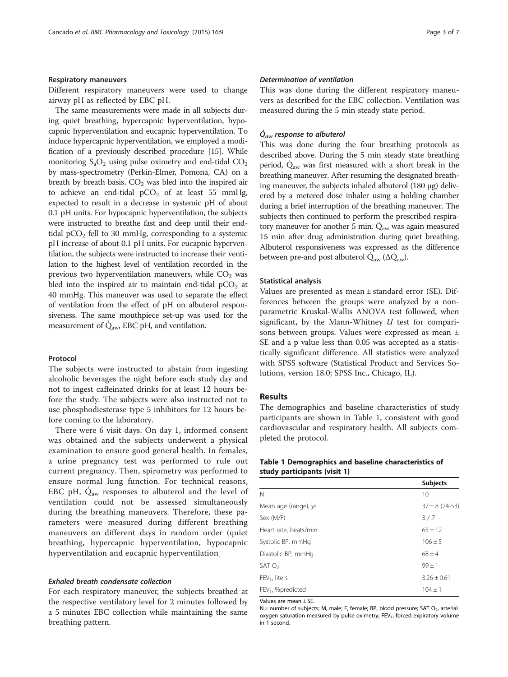#### Respiratory maneuvers

Different respiratory maneuvers were used to change airway pH as reflected by EBC pH.

The same measurements were made in all subjects during quiet breathing, hypercapnic hyperventilation, hypocapnic hyperventilation and eucapnic hyperventilation. To induce hypercapnic hyperventilation, we employed a modification of a previously described procedure [\[15\]](#page-6-0). While monitoring  $S_aO_2$  using pulse oximetry and end-tidal  $CO_2$ by mass-spectrometry (Perkin-Elmer, Pomona, CA) on a breath by breath basis,  $CO<sub>2</sub>$  was bled into the inspired air to achieve an end-tidal  $pCO<sub>2</sub>$  of at least 55 mmHg, expected to result in a decrease in systemic pH of about 0.1 pH units. For hypocapnic hyperventilation, the subjects were instructed to breathe fast and deep until their endtidal  $pCO<sub>2</sub>$  fell to 30 mmHg, corresponding to a systemic pH increase of about 0.1 pH units. For eucapnic hyperventilation, the subjects were instructed to increase their ventilation to the highest level of ventilation recorded in the previous two hyperventilation maneuvers, while  $CO<sub>2</sub>$  was bled into the inspired air to maintain end-tidal  $pCO<sub>2</sub>$  at 40 mmHg. This maneuver was used to separate the effect of ventilation from the effect of pH on albuterol responsiveness. The same mouthpiece set-up was used for the measurement of  $\dot{Q}_{\text{aw}}$  EBC pH, and ventilation.

# Protocol

The subjects were instructed to abstain from ingesting alcoholic beverages the night before each study day and not to ingest caffeinated drinks for at least 12 hours before the study. The subjects were also instructed not to use phosphodiesterase type 5 inhibitors for 12 hours before coming to the laboratory.

There were 6 visit days. On day 1, informed consent was obtained and the subjects underwent a physical examination to ensure good general health. In females, a urine pregnancy test was performed to rule out current pregnancy. Then, spirometry was performed to ensure normal lung function. For technical reasons, EBC pH,  $Q_{aw}$  responses to albuterol and the level of ventilation could not be assessed simultaneously during the breathing maneuvers. Therefore, these parameters were measured during different breathing maneuvers on different days in random order (quiet breathing, hypercapnic hyperventilation, hypocapnic hyperventilation and eucapnic hyperventilation.

# Exhaled breath condensate collection

For each respiratory maneuver, the subjects breathed at the respective ventilatory level for 2 minutes followed by a 5 minutes EBC collection while maintaining the same breathing pattern.

#### Determination of ventilation

This was done during the different respiratory maneuvers as described for the EBC collection. Ventilation was measured during the 5 min steady state period.

# $\dot{Q}_{aw}$  response to albuterol

This was done during the four breathing protocols as described above. During the 5 min steady state breathing period,  $\dot{Q}_{aw}$  was first measured with a short break in the breathing maneuver. After resuming the designated breathing maneuver, the subjects inhaled albuterol (180 μg) delivered by a metered dose inhaler using a holding chamber during a brief interruption of the breathing maneuver. The subjects then continued to perform the prescribed respiratory maneuver for another 5 min.  $Q_{aw}$  was again measured 15 min after drug administration during quiet breathing. Albuterol responsiveness was expressed as the difference between pre-and post albuterol  $Q_{aw}$  ( $\Delta Q_{aw}$ ).

#### Statistical analysis

Values are presented as mean ± standard error (SE). Differences between the groups were analyzed by a nonparametric Kruskal-Wallis ANOVA test followed, when significant, by the Mann-Whitney  $U$  test for comparisons between groups. Values were expressed as mean ± SE and a p value less than 0.05 was accepted as a statistically significant difference. All statistics were analyzed with SPSS software (Statistical Product and Services Solutions, version 18.0; SPSS Inc., Chicago, IL).

# Results

The demographics and baseline characteristics of study participants are shown in Table 1, consistent with good cardiovascular and respiratory health. All subjects completed the protocol.

# Table 1 Demographics and baseline characteristics of study participants (visit 1)

|                               | <b>Subjects</b>    |
|-------------------------------|--------------------|
| Ν                             | 10                 |
| Mean age (range), yr          | $37 \pm 8$ (24-53) |
| Sex (M/F)                     | 3/7                |
| Heart rate, beats/min         | $65 \pm 12$        |
| Systolic BP, mmHg             | $106 \pm 5$        |
| Diastolic BP, mmHg            | $68 \pm 4$         |
| SATO <sub>2</sub>             | $99 + 1$           |
| $FEV1$ , liters               | $3.26 \pm 0.61$    |
| FEV <sub>1</sub> , %predicted | $104 + 1$          |

Values are mean ± SE.

 $N =$  number of subjects; M, male; F, female; BP, blood pressure; SAT  $O<sub>2</sub>$ , arterial oxygen saturation measured by pulse oximetry;  $FEV<sub>1</sub>$ , forced expiratory volume in 1 second.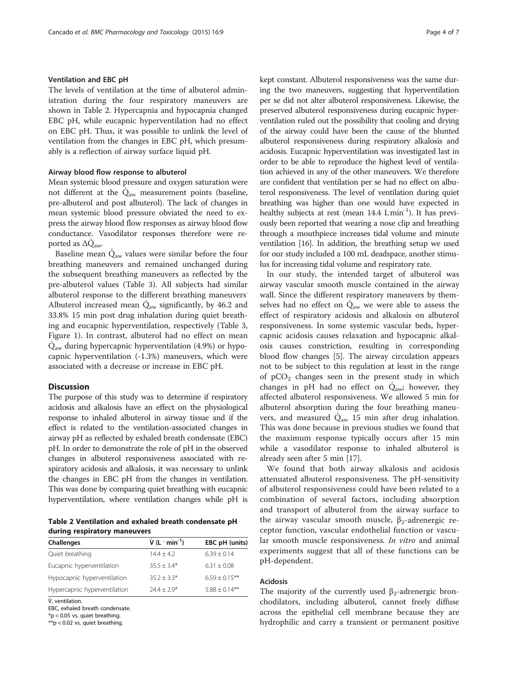#### Ventilation and EBC pH

The levels of ventilation at the time of albuterol administration during the four respiratory maneuvers are shown in Table 2. Hypercapnia and hypocapnia changed EBC pH, while eucapnic hyperventilation had no effect on EBC pH. Thus, it was possible to unlink the level of ventilation from the changes in EBC pH, which presumably is a reflection of airway surface liquid pH.

# Airway blood flow response to albuterol

Mean systemic blood pressure and oxygen saturation were not different at the  $\dot{Q}_{aw}$  measurement points (baseline, pre-albuterol and post albuterol). The lack of changes in mean systemic blood pressure obviated the need to express the airway blood flow responses as airway blood flow conductance. Vasodilator responses therefore were reported as  $\Delta \dot{Q}_{\text{aw}}$ .

Baseline mean  $\dot{Q}_{aw}$  values were similar before the four breathing maneuvers and remained unchanged during the subsequent breathing maneuvers as reflected by the pre-albuterol values (Table [3](#page-4-0)). All subjects had similar albuterol response to the different breathing maneuvers. Albuterol increased mean  $\dot{Q}_{aw}$  significantly, by 46.2 and 33.8% 15 min post drug inhalation during quiet breathing and eucapnic hyperventilation, respectively (Table [3](#page-4-0), Figure [1](#page-4-0)). In contrast, albuterol had no effect on mean  $\dot{Q}_{aw}$  during hypercapnic hyperventilation (4.9%) or hypocapnic hyperventilation (-1.3%) maneuvers, which were associated with a decrease or increase in EBC pH.

# Discussion

The purpose of this study was to determine if respiratory acidosis and alkalosis have an effect on the physiological response to inhaled albuterol in airway tissue and if the effect is related to the ventilation-associated changes in airway pH as reflected by exhaled breath condensate (EBC) pH. In order to demonstrate the role of pH in the observed changes in albuterol responsiveness associated with respiratory acidosis and alkalosis, it was necessary to unlink the changes in EBC pH from the changes in ventilation. This was done by comparing quiet breathing with eucapnic hyperventilation, where ventilation changes while pH is

Table 2 Ventilation and exhaled breath condensate pH during respiratory maneuvers

| Challenges                   | $V(L \cdot min^{-1})$ | EBC pH (units)     |
|------------------------------|-----------------------|--------------------|
| Quiet breathing              | $14.4 + 4.2$          | $6.39 + 0.14$      |
| Eucapnic hyperventilation    | $35.5 + 3.4*$         | $6.31 \pm 0.08$    |
| Hypocapnic hyperventilation  | $35.2 + 3.3*$         | $6.59 \pm 0.15***$ |
| Hypercapnic hyperventilation | $74.4 + 7.9*$         | $5.88 + 0.14***$   |

V̇, ventilation.

EBC, exhaled breath condensate.

\*p < 0.05 vs. quiet breathing.

\*\*p < 0.02 vs. quiet breathing.

kept constant. Albuterol responsiveness was the same during the two maneuvers, suggesting that hyperventilation per se did not alter albuterol responsiveness. Likewise, the preserved albuterol responsiveness during eucapnic hyperventilation ruled out the possibility that cooling and drying of the airway could have been the cause of the blunted albuterol responsiveness during respiratory alkalosis and acidosis. Eucapnic hyperventilation was investigated last in order to be able to reproduce the highest level of ventilation achieved in any of the other maneuvers. We therefore are confident that ventilation per se had no effect on albuterol responsiveness. The level of ventilation during quiet breathing was higher than one would have expected in healthy subjects at rest (mean 14.4 Lmin<sup>-1</sup>). It has previously been reported that wearing a nose clip and breathing through a mouthpiece increases tidal volume and minute ventilation [\[16\]](#page-6-0). In addition, the breathing setup we used for our study included a 100 mL deadspace, another stimulus for increasing tidal volume and respiratory rate.

In our study, the intended target of albuterol was airway vascular smooth muscle contained in the airway wall. Since the different respiratory maneuvers by themselves had no effect on  $\dot{Q}_{aw}$  we were able to assess the effect of respiratory acidosis and alkalosis on albuterol responsiveness. In some systemic vascular beds, hypercapnic acidosis causes relaxation and hypocapnic alkalosis causes constriction, resulting in corresponding blood flow changes [[5\]](#page-6-0). The airway circulation appears not to be subject to this regulation at least in the range of  $pCO<sub>2</sub>$  changes seen in the present study in which changes in pH had no effect on  $\dot{Q}_{\text{awi}}$  however, they affected albuterol responsiveness. We allowed 5 min for albuterol absorption during the four breathing maneuvers, and measured  $\dot{Q}_{\text{aw}}$  15 min after drug inhalation. This was done because in previous studies we found that the maximum response typically occurs after 15 min while a vasodilator response to inhaled albuterol is already seen after 5 min [\[17](#page-6-0)].

We found that both airway alkalosis and acidosis attenuated albuterol responsiveness. The pH-sensitivity of albuterol responsiveness could have been related to a combination of several factors, including absorption and transport of albuterol from the airway surface to the airway vascular smooth muscle,  $β_2$ -adrenergic receptor function, vascular endothelial function or vascular smooth muscle responsiveness. In vitro and animal experiments suggest that all of these functions can be pH-dependent.

# Acidosis

The majority of the currently used  $\beta_2$ -adrenergic bronchodilators, including albuterol, cannot freely diffuse across the epithelial cell membrane because they are hydrophilic and carry a transient or permanent positive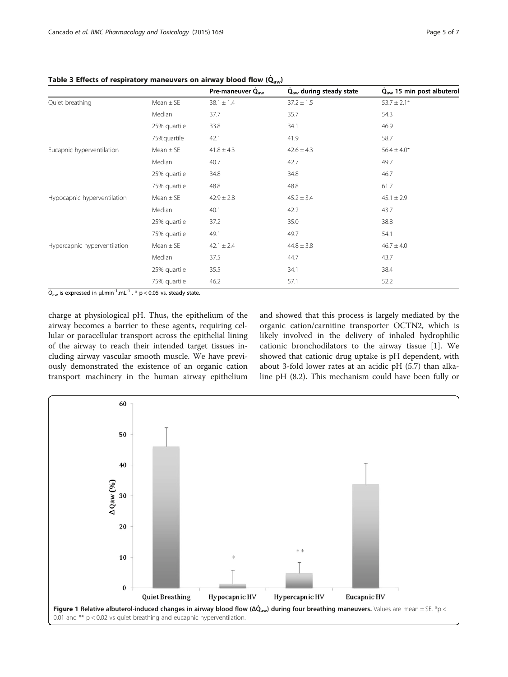|                              |               | Pre-maneuver Q <sub>aw</sub> | $\dot{Q}_{aw}$ during steady state | $\dot{Q}_{aw}$ 15 min post albuterol |
|------------------------------|---------------|------------------------------|------------------------------------|--------------------------------------|
| Quiet breathing              | $Mean \pm SE$ | $38.1 \pm 1.4$               | $37.2 \pm 1.5$                     | $53.7 \pm 2.1*$                      |
|                              | Median        | 37.7                         | 35.7                               | 54.3                                 |
|                              | 25% quartile  | 33.8                         | 34.1                               | 46.9                                 |
|                              | 75%quartile   | 42.1                         | 41.9                               | 58.7                                 |
| Eucapnic hyperventilation    | $Mean \pm SE$ | $41.8 \pm 4.3$               | $42.6 \pm 4.3$                     | $56.4 \pm 4.0*$                      |
|                              | Median        | 40.7                         | 42.7                               | 49.7                                 |
|                              | 25% quartile  | 34.8                         | 34.8                               | 46.7                                 |
|                              | 75% quartile  | 48.8                         | 48.8                               | 61.7                                 |
| Hypocapnic hyperventilation  | $Mean \pm SE$ | $42.9 \pm 2.8$               | $45.2 \pm 3.4$                     | $45.1 \pm 2.9$                       |
|                              | Median        | 40.1                         | 42.2                               | 43.7                                 |
|                              | 25% quartile  | 37.2                         | 35.0                               | 38.8                                 |
|                              | 75% quartile  | 49.1                         | 49.7                               | 54.1                                 |
| Hypercapnic hyperventilation | $Mean \pm SE$ | $42.1 \pm 2.4$               | $44.8 \pm 3.8$                     | $46.7 \pm 4.0$                       |
|                              | Median        | 37.5                         | 44.7                               | 43.7                                 |
|                              | 25% quartile  | 35.5                         | 34.1                               | 38.4                                 |
|                              | 75% quartile  | 46.2                         | 57.1                               | 52.2                                 |

<span id="page-4-0"></span>Table 3 Effects of respiratory maneuvers on airway blood flow  $(\dot{Q}_{aw})$ 

 $\dot{Q}_{aw}$  is expressed in  $\mu l.min^{-1}.mL^{-1}$ . \* p < 0.05 vs. steady state.

charge at physiological pH. Thus, the epithelium of the airway becomes a barrier to these agents, requiring cellular or paracellular transport across the epithelial lining of the airway to reach their intended target tissues including airway vascular smooth muscle. We have previously demonstrated the existence of an organic cation transport machinery in the human airway epithelium and showed that this process is largely mediated by the organic cation/carnitine transporter OCTN2, which is likely involved in the delivery of inhaled hydrophilic cationic bronchodilators to the airway tissue [\[1](#page-5-0)]. We showed that cationic drug uptake is pH dependent, with about 3-fold lower rates at an acidic pH (5.7) than alkaline pH (8.2). This mechanism could have been fully or

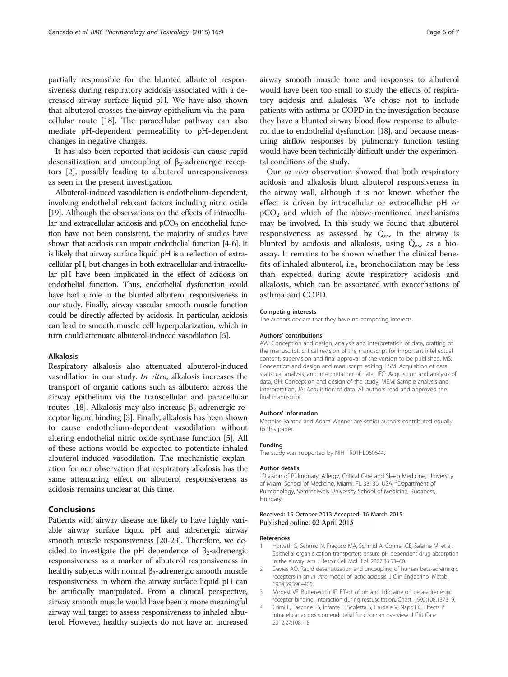<span id="page-5-0"></span>partially responsible for the blunted albuterol responsiveness during respiratory acidosis associated with a decreased airway surface liquid pH. We have also shown that albuterol crosses the airway epithelium via the paracellular route [[18\]](#page-6-0). The paracellular pathway can also mediate pH-dependent permeability to pH-dependent changes in negative charges.

It has also been reported that acidosis can cause rapid desensitization and uncoupling of  $\beta_2$ -adrenergic receptors [2], possibly leading to albuterol unresponsiveness as seen in the present investigation.

Albuterol-induced vasodilation is endothelium-dependent, involving endothelial relaxant factors including nitric oxide [[19\]](#page-6-0). Although the observations on the effects of intracellular and extracellular acidosis and  $pCO<sub>2</sub>$  on endothelial function have not been consistent, the majority of studies have shown that acidosis can impair endothelial function [4[-6\]](#page-6-0). It is likely that airway surface liquid pH is a reflection of extracellular pH, but changes in both extracellular and intracellular pH have been implicated in the effect of acidosis on endothelial function. Thus, endothelial dysfunction could have had a role in the blunted albuterol responsiveness in our study. Finally, airway vascular smooth muscle function could be directly affected by acidosis. In particular, acidosis can lead to smooth muscle cell hyperpolarization, which in turn could attenuate albuterol-induced vasodilation [\[5\]](#page-6-0).

#### Alkalosis

Respiratory alkalosis also attenuated albuterol-induced vasodilation in our study. In vitro, alkalosis increases the transport of organic cations such as albuterol across the airway epithelium via the transcellular and paracellular routes [\[18\]](#page-6-0). Alkalosis may also increase β<sub>2</sub>-adrenergic receptor ligand binding [3]. Finally, alkalosis has been shown to cause endothelium-dependent vasodilation without altering endothelial nitric oxide synthase function [\[5](#page-6-0)]. All of these actions would be expected to potentiate inhaled albuterol-induced vasodilation. The mechanistic explanation for our observation that respiratory alkalosis has the same attenuating effect on albuterol responsiveness as acidosis remains unclear at this time.

# Conclusions

Patients with airway disease are likely to have highly variable airway surface liquid pH and adrenergic airway smooth muscle responsiveness [[20](#page-6-0)-[23](#page-6-0)]. Therefore, we decided to investigate the pH dependence of  $\beta_2$ -adrenergic responsiveness as a marker of albuterol responsiveness in healthy subjects with normal  $β_2$ -adrenergic smooth muscle responsiveness in whom the airway surface liquid pH can be artificially manipulated. From a clinical perspective, airway smooth muscle would have been a more meaningful airway wall target to assess responsiveness to inhaled albuterol. However, healthy subjects do not have an increased airway smooth muscle tone and responses to albuterol would have been too small to study the effects of respiratory acidosis and alkalosis. We chose not to include patients with asthma or COPD in the investigation because they have a blunted airway blood flow response to albuterol due to endothelial dysfunction [[18](#page-6-0)], and because measuring airflow responses by pulmonary function testing would have been technically difficult under the experimental conditions of the study.

Our in vivo observation showed that both respiratory acidosis and alkalosis blunt albuterol responsiveness in the airway wall, although it is not known whether the effect is driven by intracellular or extracellular pH or  $pCO<sub>2</sub>$  and which of the above-mentioned mechanisms may be involved. In this study we found that albuterol responsiveness as assessed by  $\dot{Q}_{aw}$  in the airway is blunted by acidosis and alkalosis, using  $\dot{Q}_{aw}$  as a bioassay. It remains to be shown whether the clinical benefits of inhaled albuterol, i.e., bronchodilation may be less than expected during acute respiratory acidosis and alkalosis, which can be associated with exacerbations of asthma and COPD.

# Competing interests

The authors declare that they have no competing interests.

#### Authors' contributions

AW: Conception and design, analysis and interpretation of data, drafting of the manuscript, critical revision of the manuscript for important intellectual content, supervision and final approval of the version to be published. MS: Conception and design and manuscript editing. ESM: Acquisition of data, statistical analysis, and interpretation of data. JEC: Acquisition and analysis of data, GH: Conception and design of the study. MEM: Sample analysis and interpretation. JA: Acquisition of data. All authors read and approved the final manuscript.

#### Authors' information

Matthias Salathe and Adam Wanner are senior authors contributed equally to this paper.

#### Funding

The study was supported by NIH 1R01HL060644.

#### Author details

<sup>1</sup> Division of Pulmonary, Allergy, Critical Care and Sleep Medicine, University of Miami School of Medicine, Miami, FL 33136, USA. <sup>2</sup>Department of Pulmonology, Semmelweis University School of Medicine, Budapest, Hungary.

## Received: 15 October 2013 Accepted: 16 March 2015 Published online: 02 April 2015

#### References

- 1. Horvath G, Schmid N, Fragoso MA, Schmid A, Conner GE, Salathe M, et al. Epithelial organic cation transporters ensure pH dependent drug absorption in the airway. Am J Respir Cell Mol Biol. 2007;36:53–60.
- 2. Davies AO. Rapid desensitization and uncoupling of human beta-adrenergic receptors in an in vitro model of lactic acidosis. J Clin Endocrinol Metab. 1984;59:398–405.
- 3. Modest VE, Butterworth JF. Effect of pH and lidocaine on beta-adrenergic receptor binding: interaction during rescuscitation. Chest. 1995;108:1373–9.
- 4. Crimi E, Taccone FS, Infante T, Scoletta S, Crudele V, Napoli C. Effects if intracelular acidosis on endotelial function: an overview. J Crit Care. 2012;27:108–18.